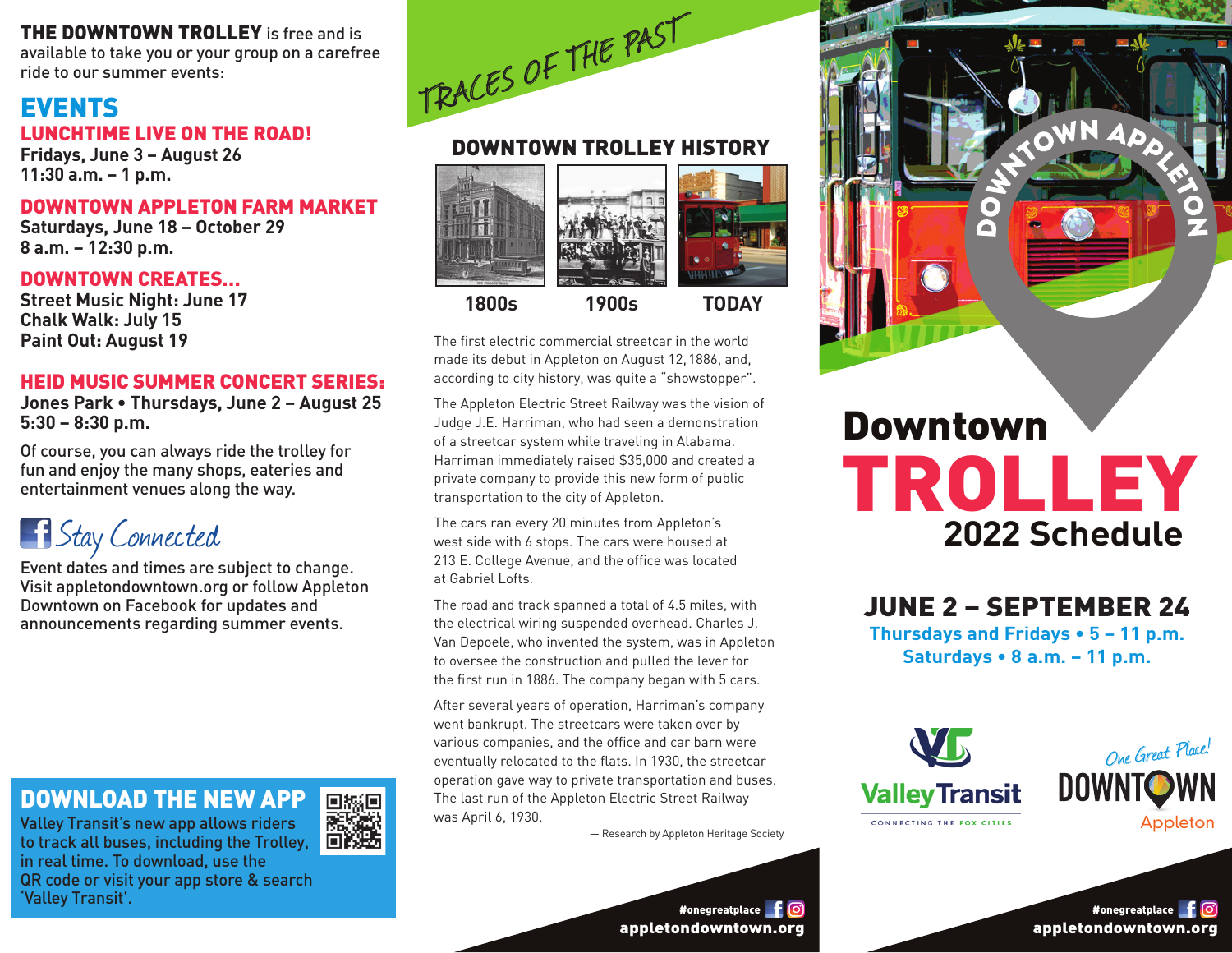## **THE DOWNTOWN TROLLEY** is free and is

available to take you or your group on a carefree ride to our summer events:

## EVENTS LUNCHTIME LIVE ON THE ROAD!

**Fridays, June 3 – August 26 11:30 a.m. – 1 p.m.** 

## DOWNTOWN APPLETON FARM MARKET

**Saturdays, June 18 – October 29 8 a.m. – 12:30 p.m.**

DOWNTOWN CREATES…

**Street Music Night: June 17 Chalk Walk: July 15 Paint Out: August 19** 

## HEID MUSIC SUMMER CONCERT SERIES:

**Jones Park • Thursdays, June 2 – August 25 5:30 – 8:30 p.m.** 

Of course, you can always ride the trolley for fun and enjoy the many shops, eateries and entertainment venues along the way.



Event dates and times are subject to change. Visit appletondowntown.org or follow Appleton Downtown on Facebook for updates and announcements regarding summer events.

## DOWNLOAD THE NEW APP

Valley Transit's new app allows riders ÖØ. to track all buses, including the Trolley, in real time. To download, use the QR code or visit your app store & search 'Valley Transit'.



## DOWNTOWN TROLLEY HISTORY





**1800s 1900s TODAY**

The first electric commercial streetcar in the world made its debut in Appleton on August 12, 1886, and, according to city history, was quite a "showstopper".

The Appleton Electric Street Railway was the vision of Judge J.E. Harriman, who had seen a demonstration of a streetcar system while traveling in Alabama. Harriman immediately raised \$35,000 and created a private company to provide this new form of public transportation to the city of Appleton.

The cars ran every 20 minutes from Appleton's west side with 6 stops. The cars were housed at 213 E. College Avenue, and the office was located at Gabriel Lofts.

The road and track spanned a total of 4.5 miles, with the electrical wiring suspended overhead. Charles J. Van Depoele, who invented the system, was in Appleton to oversee the construction and pulled the lever for the first run in 1886. The company began with 5 cars.

After several years of operation, Harriman's company went bankrupt. The streetcars were taken over by various companies, and the office and car barn were eventually relocated to the flats. In 1930, the streetcar operation gave way to private transportation and buses. The last run of the Appleton Electric Street Railway was April 6, 1930.

— Research by Appleton Heritage Society

#onegreatplace f ©



# TROLLEY Downtown **2022 Schedule**

JUNE 2 – SEPTEMBER 24 **Thursdays and Fridays • 5 – 11 p.m. Saturdays • 8 a.m. – 11 p.m.**



appletondowntown.org #onegreatplace f 0

appletondowntown.org